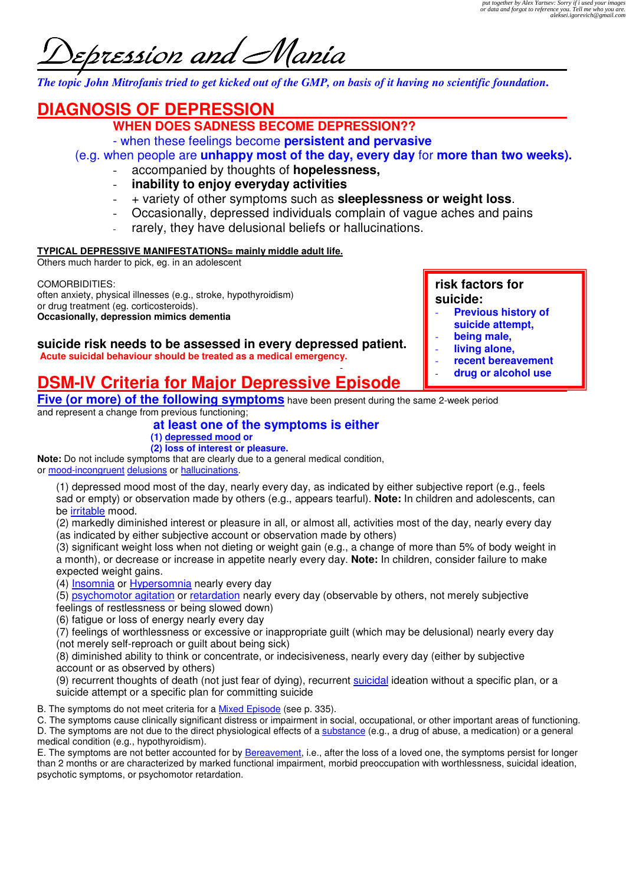bression and Alania

*The topic John Mitrofanis tried to get kicked out of the GMP, on basis of it having no scientific foundation***.** 

# **DIAGNOSIS OF DEPRESSION**

- **WHEN DOES SADNESS BECOME DEPRESSION??**
- when these feelings become **persistent and pervasive**

(e.g. when people are **unhappy most of the day, every day** for **more than two weeks).** 

- accompanied by thoughts of **hopelessness,**
- **inability to enjoy everyday activities**
- + variety of other symptoms such as **sleeplessness or weight loss**.
- Occasionally, depressed individuals complain of vague aches and pains
- rarely, they have delusional beliefs or hallucinations.

# **TYPICAL DEPRESSIVE MANIFESTATIONS= mainly middle adult life.**

Others much harder to pick, eg. in an adolescent

COMORBIDITIES: often anxiety, physical illnesses (e.g., stroke, hypothyroidism) or drug treatment (eg. corticosteroids). **Occasionally, depression mimics dementia** 

**risk factors for suicide:** 

- **Previous history of suicide attempt,**
- **being male,**
- **living alone,**
- **recent bereavement**
- **drug or alcohol use**

#### **suicide risk needs to be assessed in every depressed patient. Acute suicidal behaviour should be treated as a medical emergency.**

# - **DSM-IV Criteria for Major Depressive Episode**

**Five (or more) of the following symptoms** have been present during the same 2-week period and represent a change from previous functioning;

# **at least one of the symptoms is either**

**(1) depressed mood or** 

**(2) loss of interest or pleasure. Note:** Do not include symptoms that are clearly due to a general medical condition,

or mood-incongruent delusions or hallucinations.

(1) depressed mood most of the day, nearly every day, as indicated by either subjective report (e.g., feels sad or empty) or observation made by others (e.g., appears tearful). **Note:** In children and adolescents, can be irritable mood.

(2) markedly diminished interest or pleasure in all, or almost all, activities most of the day, nearly every day (as indicated by either subjective account or observation made by others)

(3) significant weight loss when not dieting or weight gain (e.g., a change of more than 5% of body weight in a month), or decrease or increase in appetite nearly every day. **Note:** In children, consider failure to make expected weight gains.

(4) Insomnia or Hypersomnia nearly every day

(5) psychomotor agitation or retardation nearly every day (observable by others, not merely subjective

feelings of restlessness or being slowed down)

(6) fatigue or loss of energy nearly every day

(7) feelings of worthlessness or excessive or inappropriate guilt (which may be delusional) nearly every day (not merely self-reproach or guilt about being sick)

(8) diminished ability to think or concentrate, or indecisiveness, nearly every day (either by subjective account or as observed by others)

(9) recurrent thoughts of death (not just fear of dying), recurrent suicidal ideation without a specific plan, or a suicide attempt or a specific plan for committing suicide

B. The symptoms do not meet criteria for a Mixed Episode (see p. 335).

C. The symptoms cause clinically significant distress or impairment in social, occupational, or other important areas of functioning. D. The symptoms are not due to the direct physiological effects of a substance (e.g., a drug of abuse, a medication) or a general medical condition (e.g., hypothyroidism).

E. The symptoms are not better accounted for by **Bereavement**, i.e., after the loss of a loved one, the symptoms persist for longer than 2 months or are characterized by marked functional impairment, morbid preoccupation with worthlessness, suicidal ideation, psychotic symptoms, or psychomotor retardation.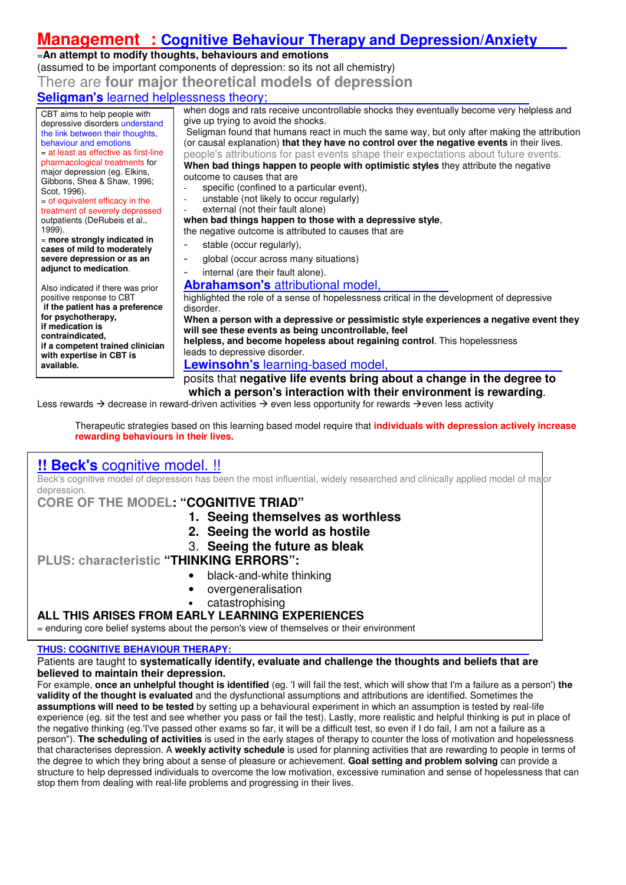# **Management : Cognitive Behaviour Therapy and Depression/Anxiety**

# =**An attempt to modify thoughts, behaviours and emotions**

(assumed to be important components of depression: so its not all chemistry)

There are **four major theoretical models of depression**

# **Seligman's** learned helplessness theory;

CBT aims to help people with depressive disorders understand the link between their thoughts, behaviour and emotions = at least as effective as first-line pharmacological treatments for major depression (eg. Elkins, Gibbons, Shea & Shaw, 1996; Scot, 1996).

 $=$  of equivalent efficacy in the treatment of severely depressed outpatients (DeRubeis et al., 1999).

= **more strongly indicated in cases of mild to moderately severe depression or as an adjunct to medication**.

Also indicated if there was prior positive response to CBT  **if the patient has a preference for psychotherapy, if medication is contraindicated, if a competent trained clinician with expertise in CBT is available.**

when dogs and rats receive uncontrollable shocks they eventually become very helpless and give up trying to avoid the shocks. Seligman found that humans react in much the same way, but only after making the attribution

(or causal explanation) **that they have no control over the negative events** in their lives. people's attributions for past events shape their expectations about future events. **When bad things happen to people with optimistic styles** they attribute the negative outcome to causes that are

- specific (confined to a particular event),
- unstable (not likely to occur regularly)
- external (not their fault alone)

### **when bad things happen to those with a depressive style**,

the negative outcome is attributed to causes that are

- stable (occur regularly),
- global (occur across many situations)

# internal (are their fault alone).

**Abrahamson's** attributional model,

highlighted the role of a sense of hopelessness critical in the development of depressive disorder.

**When a person with a depressive or pessimistic style experiences a negative event they will see these events as being uncontrollable, feel** 

**helpless, and become hopeless about regaining control**. This hopelessness leads to depressive disorder.

# **Lewinsohn's** learning-based model,

posits that **negative life events bring about a change in the degree to which a person's interaction with their environment is rewarding**.

Less rewards  $\rightarrow$  decrease in reward-driven activities  $\rightarrow$  even less opportunity for rewards  $\rightarrow$ even less activity

Therapeutic strategies based on this learning based model require that **individuals with depression actively increase rewarding behaviours in their lives.**

# **!! Beck's** cognitive model. !!

Beck's cognitive model of depression has been the most influential, widely researched and clinically applied model of major depression.

**CORE OF THE MODEL: "COGNITIVE TRIAD"** 

- **1. Seeing themselves as worthless**
- **2. Seeing the world as hostile**
- 3. **Seeing the future as bleak**

# **PLUS: characteristic "THINKING ERRORS":**

- black-and-white thinking
- overgeneralisation
- catastrophising

# **ALL THIS ARISES FROM EARLY LEARNING EXPERIENCES**

= enduring core belief systems about the person's view of themselves or their environment

### **THUS: COGNITIVE BEHAVIOUR THERAPY:**

#### Patients are taught to **systematically identify, evaluate and challenge the thoughts and beliefs that are believed to maintain their depression.**

For example, **once an unhelpful thought is identified** (eg. 'I will fail the test, which will show that I'm a failure as a person') **the validity of the thought is evaluated** and the dysfunctional assumptions and attributions are identified. Sometimes the **assumptions will need to be tested** by setting up a behavioural experiment in which an assumption is tested by real-life experience (eg. sit the test and see whether you pass or fail the test). Lastly, more realistic and helpful thinking is put in place of the negative thinking (eg.'I've passed other exams so far, it will be a difficult test, so even if I do fail, I am not a failure as a person"). **The scheduling of activities** is used in the early stages of therapy to counter the loss of motivation and hopelessness that characterises depression. A **weekly activity schedule** is used for planning activities that are rewarding to people in terms of the degree to which they bring about a sense of pleasure or achievement. **Goal setting and problem solving** can provide a structure to help depressed individuals to overcome the low motivation, excessive rumination and sense of hopelessness that can stop them from dealing with real-life problems and progressing in their lives.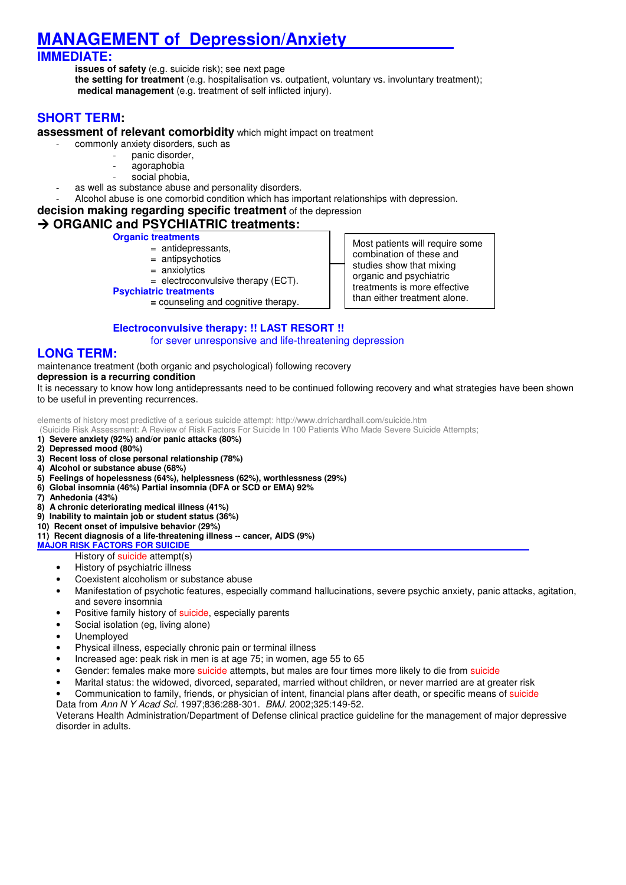# **MANAGEMENT of Depression/Anxiety**

# **IMMEDIATE:**

**issues of safety** (e.g. suicide risk); see next page **the setting for treatment** (e.g. hospitalisation vs. outpatient, voluntary vs. involuntary treatment);  **medical management** (e.g. treatment of self inflicted injury).

# **SHORT TERM:**

#### **assessment of relevant comorbidity** which might impact on treatment

- commonly anxiety disorders, such as
	- panic disorder,
	- agoraphobia
	- social phobia,
	- as well as substance abuse and personality disorders.
- Alcohol abuse is one comorbid condition which has important relationships with depression.

#### **decision making regarding specific treatment** of the depression

# **→ ORGANIC and PSYCHIATRIC treatments:**

**Organic treatments**

- = antidepressants,
	- = antipsychotics
	- = anxiolytics
- $=$  electroconvulsive therapy (ECT).
- **Psychiatric treatments**
	- **=** counseling and cognitive therapy.

Most patients will require some combination of these and studies show that mixing organic and psychiatric treatments is more effective than either treatment alone.

# **Electroconvulsive therapy: !! LAST RESORT !!**

for sever unresponsive and life-threatening depression

# **LONG TERM:**

maintenance treatment (both organic and psychological) following recovery

#### **depression is a recurring condition**

It is necessary to know how long antidepressants need to be continued following recovery and what strategies have been shown to be useful in preventing recurrences.

elements of history most predictive of a serious suicide attempt: http://www.drrichardhall.com/suicide.htm

(Suicide Risk Assessment: A Review of Risk Factors For Suicide In 100 Patients Who Made Severe Suicide Attempts;

- **1) Severe anxiety (92%) and/or panic attacks (80%)**
- **2) Depressed mood (80%)**
- **3) Recent loss of close personal relationship (78%)**
- **4) Alcohol or substance abuse (68%)**
- **5) Feelings of hopelessness (64%), helplessness (62%), worthlessness (29%)**
- **6) Global insomnia (46%) Partial insomnia (DFA or SCD or EMA) 92%**
- **7) Anhedonia (43%)**
- **8) A chronic deteriorating medical illness (41%)**
- **9) Inability to maintain job or student status (36%)**

### **10) Recent onset of impulsive behavior (29%)**

#### **11) Recent diagnosis of a life-threatening illness -- cancer, AIDS (9%)**

- **MAJOR RISK FACTORS FOR SUICIDE** 
	- **History of suicide attempt(s)**
	- History of psychiatric illness
	- Coexistent alcoholism or substance abuse
	- Manifestation of psychotic features, especially command hallucinations, severe psychic anxiety, panic attacks, agitation, and severe insomnia
	- Positive family history of suicide, especially parents
	- Social isolation (eg, living alone)
	- Unemployed
	- Physical illness, especially chronic pain or terminal illness
	- Increased age: peak risk in men is at age 75; in women, age 55 to 65
	- Gender: females make more suicide attempts, but males are four times more likely to die from suicide
	- Marital status: the widowed, divorced, separated, married without children, or never married are at greater risk
	- Communication to family, friends, or physician of intent, financial plans after death, or specific means of suicide
	- Data from Ann N Y Acad Sci. 1997;836:288-301. BMJ. 2002;325:149-52.

Veterans Health Administration/Department of Defense clinical practice guideline for the management of major depressive disorder in adults.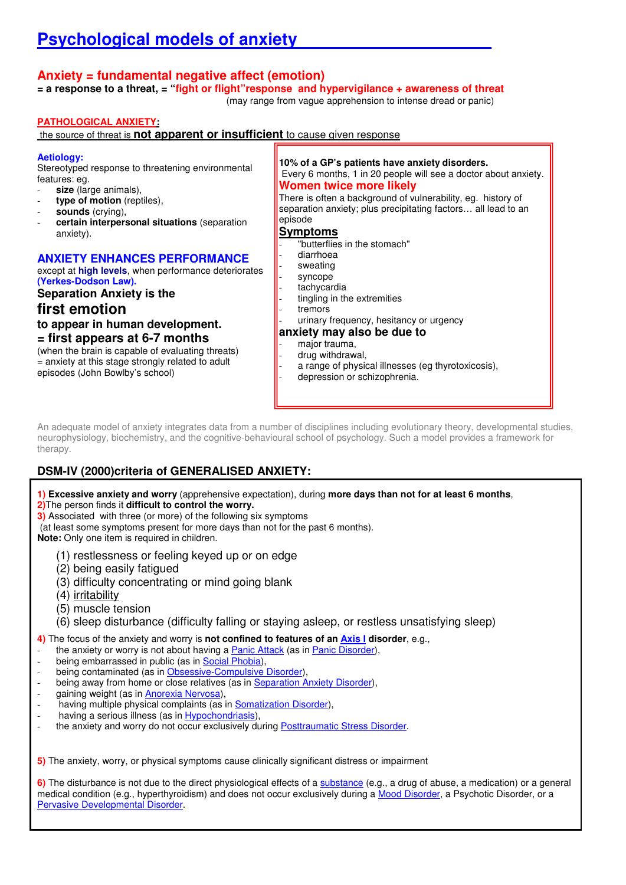# **Anxiety = fundamental negative affect (emotion)**

**= a response to a threat, = "fight or flight"response and hypervigilance + awareness of threat**

(may range from vague apprehension to intense dread or panic)

### **PATHOLOGICAL ANXIETY:**

the source of threat is **not apparent or insufficient** to cause given response

#### **Aetiology:**

Stereotyped response to threatening environmental features: eg.

- size (large animals),
- type of motion (reptiles),
- sounds (crying),
- **certain interpersonal situations** (separation anxiety).

### **ANXIETY ENHANCES PERFORMANCE**

except at **high levels**, when performance deteriorates **(Yerkes-Dodson Law).** 

**Separation Anxiety is the** 

**first emotion to appear in human development.**

**= first appears at 6-7 months**

(when the brain is capable of evaluating threats) = anxiety at this stage strongly related to adult episodes (John Bowlby's school)

**10% of a GP's patients have anxiety disorders.**  Every 6 months, 1 in 20 people will see a doctor about anxiety. **Women twice more likely**  There is often a background of vulnerability, eg. history of

separation anxiety; plus precipitating factors... all lead to an episode

#### **Symptoms**

- "butterflies in the stomach"
- diarrhoea
- sweating
- syncope
- tachycardia
- tingling in the extremities
- tremors urinary frequency, hesitancy or urgency

# **anxiety may also be due to**

#### major trauma,

- drug withdrawal,
- a range of physical illnesses (eg thyrotoxicosis),
- depression or schizophrenia.

An adequate model of anxiety integrates data from a number of disciplines including evolutionary theory, developmental studies, neurophysiology, biochemistry, and the cognitive-behavioural school of psychology. Such a model provides a framework for therapy.

# **DSM-IV (2000)criteria of GENERALISED ANXIETY:**

**1) Excessive anxiety and worry** (apprehensive expectation), during **more days than not for at least 6 months**,

**2)**The person finds it **difficult to control the worry.**

**3)** Associated with three (or more) of the following six symptoms

(at least some symptoms present for more days than not for the past 6 months).

**Note:** Only one item is required in children.

- (1) restlessness or feeling keyed up or on edge
- (2) being easily fatigued
- (3) difficulty concentrating or mind going blank
- (4) irritability
- (5) muscle tension
- (6) sleep disturbance (difficulty falling or staying asleep, or restless unsatisfying sleep)
- **4)** The focus of the anxiety and worry is **not confined to features of an Axis I disorder**, e.g.,
- the anxiety or worry is not about having a Panic Attack (as in Panic Disorder),
- being embarrassed in public (as in Social Phobia),
- being contaminated (as in Obsessive-Compulsive Disorder),
- being away from home or close relatives (as in Separation Anxiety Disorder),
- gaining weight (as in Anorexia Nervosa).
- having multiple physical complaints (as in Somatization Disorder),
- having a serious illness (as in Hypochondriasis),
- the anxiety and worry do not occur exclusively during Posttraumatic Stress Disorder.

**5)** The anxiety, worry, or physical symptoms cause clinically significant distress or impairment

**6)** The disturbance is not due to the direct physiological effects of a substance (e.g., a drug of abuse, a medication) or a general medical condition (e.g., hyperthyroidism) and does not occur exclusively during a Mood Disorder, a Psychotic Disorder, or a Pervasive Developmental Disorder.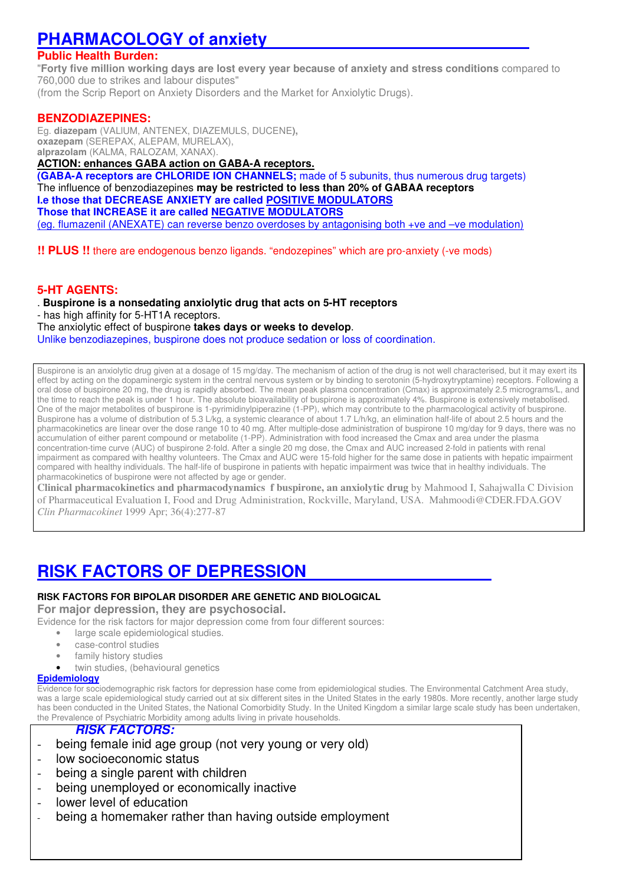# **PHARMACOLOGY of anxiety**

# **Public Health Burden:**

"**Forty five million working days are lost every year because of anxiety and stress conditions** compared to 760,000 due to strikes and labour disputes"

(from the Scrip Report on Anxiety Disorders and the Market for Anxiolytic Drugs).

## **BENZODIAZEPINES:**

Eg. **diazepam** (VALlUM, ANTENEX, DIAZEMULS, DUCENE**), oxazepam** (SEREPAX, ALEPAM, MURELAX), **alprazolam** (KALMA, RALOZAM, XANAX).

### **ACTION: enhances GABA action on GABA-A receptors.**

**(GABA-A receptors are CHLORIDE ION CHANNELS;** made of 5 subunits, thus numerous drug targets) The influence of benzodiazepines **may be restricted to less than 20% of GABAA receptors I.e those that DECREASE ANXIETY are called POSITIVE MODULATORS Those that INCREASE it are called NEGATIVE MODULATORS**  (eg. flumazenil (ANEXATE) can reverse benzo overdoses by antagonising both +ve and –ve modulation)

**!! PLUS !!** there are endogenous benzo ligands. "endozepines" which are pro-anxiety (-ve mods)

## **5-HT AGENTS:**

. **Buspirone is a nonsedating anxiolytic drug that acts on 5-HT receptors**

- has high affinity for 5-HT1A receptors.

The anxiolytic effect of buspirone **takes days or weeks to develop**.

Unlike benzodiazepines, buspirone does not produce sedation or loss of coordination.

Buspirone is an anxiolytic drug given at a dosage of 15 mg/day. The mechanism of action of the drug is not well characterised, but it may exert its effect by acting on the dopaminergic system in the central nervous system or by binding to serotonin (5-hydroxytryptamine) receptors. Following a oral dose of buspirone 20 mg, the drug is rapidly absorbed. The mean peak plasma concentration (Cmax) is approximately 2.5 micrograms/L, and the time to reach the peak is under 1 hour. The absolute bioavailability of buspirone is approximately 4%. Buspirone is extensively metabolised. One of the major metabolites of buspirone is 1-pyrimidinylpiperazine (1-PP), which may contribute to the pharmacological activity of buspirone. Buspirone has a volume of distribution of 5.3 L/kg, a systemic clearance of about 1.7 L/h/kg, an elimination half-life of about 2.5 hours and the pharmacokinetics are linear over the dose range 10 to 40 mg. After multiple-dose administration of buspirone 10 mg/day for 9 days, there was no accumulation of either parent compound or metabolite (1-PP). Administration with food increased the Cmax and area under the plasma concentration-time curve (AUC) of buspirone 2-fold. After a single 20 mg dose, the Cmax and AUC increased 2-fold in patients with renal impairment as compared with healthy volunteers. The Cmax and AUC were 15-fold higher for the same dose in patients with hepatic impairment compared with healthy individuals. The half-life of buspirone in patients with hepatic impairment was twice that in healthy individuals. The pharmacokinetics of buspirone were not affected by age or gender.

**Clinical pharmacokinetics and pharmacodynamics f buspirone, an anxiolytic drug** by Mahmood I, Sahajwalla C Division of Pharmaceutical Evaluation I, Food and Drug Administration, Rockville, Maryland, USA. Mahmoodi@CDER.FDA.GOV *Clin Pharmacokinet* 1999 Apr; 36(4):277-87

# **RISK FACTORS OF DEPRESSION**

### **RISK FACTORS FOR BIPOLAR DISORDER ARE GENETIC AND BIOLOGICAL**

**For major depression, they are psychosocial.** 

Evidence for the risk factors for major depression come from four different sources:

- large scale epidemiological studies.
- case-control studies
- family history studies
- twin studies, (behavioural genetics

#### **Epidemiology**

Evidence for sociodemographic risk factors for depression hase come from epidemiological studies. The Environmental Catchment Area study, was a large scale epidemiological study carried out at six different sites in the United States in the early 1980s. More recently, another large study has been conducted in the United States, the National Comorbidity Study. In the United Kingdom a similar large scale study has been undertaken, the Prevalence of Psychiatric Morbidity among adults living in private households.

# **RISK FACTORS:**

- being female inid age group (not very young or very old)
- low socioeconomic status
- being a single parent with children
- being unemployed or economically inactive
- lower level of education
- being a homemaker rather than having outside employment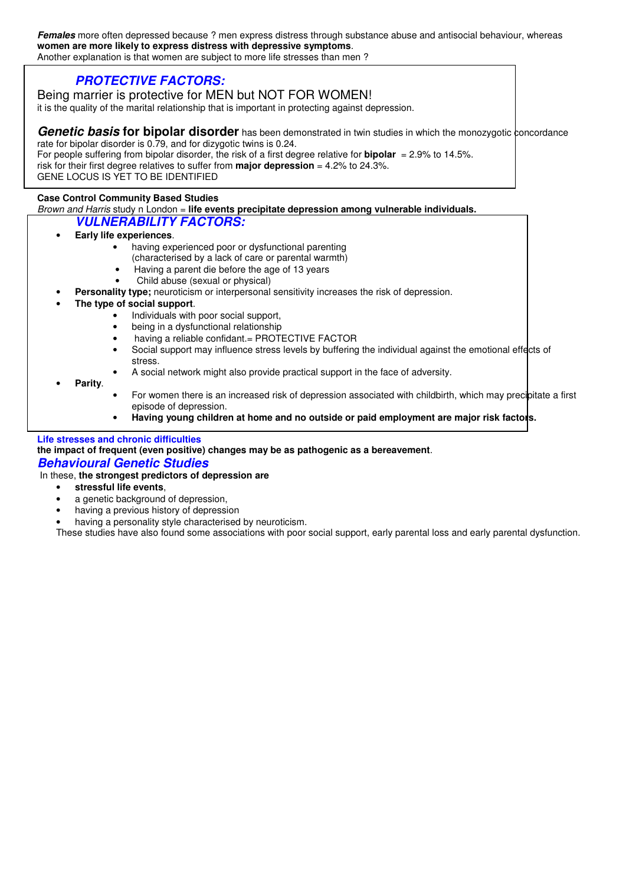**Females** more often depressed because ? men express distress through substance abuse and antisocial behaviour, whereas **women are more likely to express distress with depressive symptoms**. Another explanation is that women are subject to more life stresses than men ?

**PROTECTIVE FACTORS:** 

# Being marrier is protective for MEN but NOT FOR WOMEN!

it is the quality of the marital relationship that is important in protecting against depression.

**Genetic basis for bipolar disorder** has been demonstrated in twin studies in which the monozygotic concordance rate for bipolar disorder is 0.79, and for dizygotic twins is 0.24.

For people suffering from bipolar disorder, the risk of a first degree relative for **bipolar** = 2.9% to 14.5%. risk for their first degree relatives to suffer from **major depression** = 4.2% to 24.3%. GENE LOCUS IS YET TO BE IDENTIFIED

#### **Case Control Community Based Studies**

Brown and Harris study n London = **life events precipitate depression among vulnerable individuals.**

## **VULNERABILITY FACTORS:**

- **Early life experiences**.
	- having experienced poor or dysfunctional parenting
	- (characterised by a lack of care or parental warmth)
		- Having a parent die before the age of 13 years
	- Child abuse (sexual or physical)
	- **Personality type;** neuroticism or interpersonal sensitivity increases the risk of depression.
- **The type of social support**.
	- Individuals with poor social support,
	- being in a dysfunctional relationship
	- having a reliable confidant.= PROTECTIVE FACTOR
	- Social support may influence stress levels by buffering the individual against the emotional effects of stress.
	- A social network might also provide practical support in the face of adversity.
- **Parity**.
- For women there is an increased risk of depression associated with childbirth, which may precipitate a first episode of depression.
- **Having young children at home and no outside or paid employment are major risk factors.**

#### **Life stresses and chronic difficulties**

**the impact of frequent (even positive) changes may be as pathogenic as a bereavement**. **Behavioural Genetic Studies** 

### In these, **the strongest predictors of depression are**

- **stressful life events**,
- a genetic background of depression,
- having a previous history of depression
- having a personality style characterised by neuroticism.

These studies have also found some associations with poor social support, early parental loss and early parental dysfunction.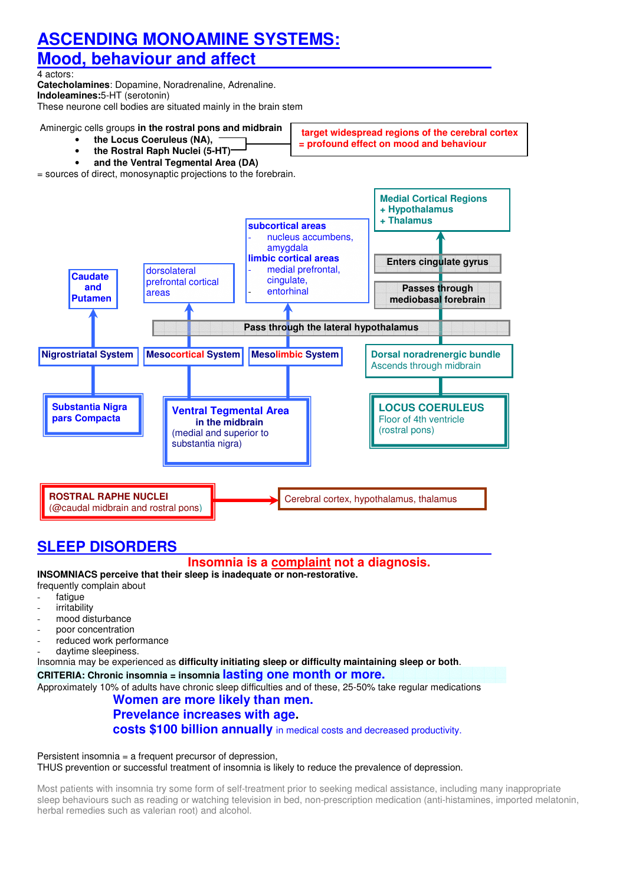# **ASCENDING MONOAMINE SYSTEMS:**

# **Mood, behaviour and affect**

4 actors:

**Catecholamines**: Dopamine, Noradrenaline, Adrenaline. **Indoleamines:**5-HT (serotonin)

These neurone cell bodies are situated mainly in the brain stem

Aminergic cells groups **in the rostral pons and midbrain**

- **the Locus Coeruleus (NA),**
- **the Rostral Raph Nuclei (5-HT)**
- 

**target widespread regions of the cerebral cortex = profound effect on mood and behaviour** 

• **and the Ventral Tegmental Area (DA)**





# **SLEEP DISORDERS**

# **Insomnia is a complaint not a diagnosis.**

**INSOMNIACS perceive that their sleep is inadequate or non-restorative.** 

- frequently complain about
- fatigue
- irritability
- mood disturbance
- poor concentration
- reduced work performance
- daytime sleepiness.

Insomnia may be experienced as **difficulty initiating sleep or difficulty maintaining sleep or both**.

### **CRITERIA: Chronic insomnia = insomnia lasting one month or more.**

Approximately 10% of adults have chronic sleep difficulties and of these, 25-50% take regular medications

# **Women are more likely than men.**

# **Prevelance increases with age.**

**costs \$100 billion annually** in medical costs and decreased productivity.

#### Persistent insomnia = a frequent precursor of depression, THUS prevention or successful treatment of insomnia is likely to reduce the prevalence of depression.

Most patients with insomnia try some form of self-treatment prior to seeking medical assistance, including many inappropriate sleep behaviours such as reading or watching television in bed, non-prescription medication (anti-histamines, imported melatonin, herbal remedies such as valerian root) and alcohol.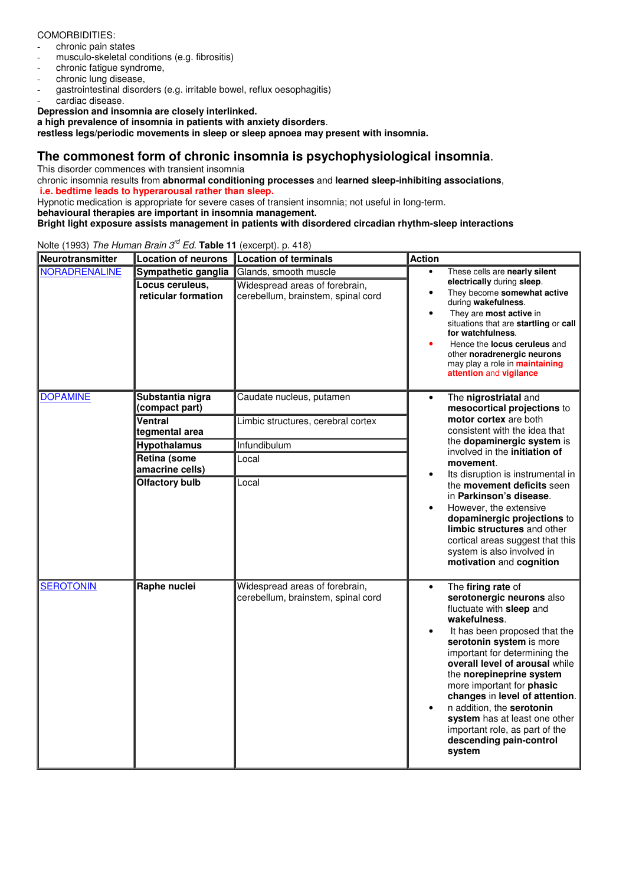#### COMORBIDITIES:

- chronic pain states
- musculo-skeletal conditions (e.g. fibrositis)
- chronic fatique syndrome.
- chronic lung disease.
- gastrointestinal disorders (e.g. irritable bowel, reflux oesophagitis) cardiac disease.

**Depression and insomnia are closely interlinked.** 

**a high prevalence of insomnia in patients with anxiety disorders**.

**restless legs/periodic movements in sleep or sleep apnoea may present with insomnia.** 

# **The commonest form of chronic insomnia is psychophysiological insomnia**.

This disorder commences with transient insomnia

chronic insomnia results from **abnormal conditioning processes** and **learned sleep-inhibiting associations**,  **i.e. bedtime leads to hyperarousal rather than sleep.** 

Hypnotic medication is appropriate for severe cases of transient insomnia; not useful in long-term.

**behavioural therapies are important in insomnia management.** 

**Bright light exposure assists management in patients with disordered circadian rhythm-sleep interactions**

**Neurotransmitter Location of neurons Location of terminals Action** NORADRENALINE **Sympathetic ganglia** Glands, smooth muscle **Locus ceruleus, reticular formation**  Widespread areas of forebrain, cerebellum, brainstem, spinal cord • These cells are **nearly silent electrically** during **sleep**. • They become **somewhat active** during **wakefulness**. • They are **most active** in situations that are **startling** or **call for watchfulness**. • Hence the **locus ceruleus** and other **noradrenergic neurons** may play a role in **maintaining attention** and **vigilance Substantia nigra (compact part)**  Caudate nucleus, putamen **Ventral tegmental area**  Limbic structures, cerebral cortex **Hypothalamus** Infundibulum **Retina (some amacrine cells)**  Local **DOPAMINE Olfactory bulb** Local • The **nigrostriatal** and **mesocortical projections** to **motor cortex** are both consistent with the idea that the **dopaminergic system** is involved in the **initiation of movement**. Its disruption is instrumental in the **movement deficits** seen in **Parkinson's disease**. • However, the extensive **dopaminergic projections** to **limbic structures** and other cortical areas suggest that this system is also involved in **motivation** and **cognition** SEROTONIN **Raphe nuclei** Widespread areas of forebrain, cerebellum, brainstem, spinal cord • The **firing rate** of **serotonergic neurons** also fluctuate with **sleep** and **wakefulness**. It has been proposed that the **serotonin system** is more important for determining the **overall level of arousal** while the **norepineprine system** more important for **phasic changes** in **level of attention**. • n addition, the **serotonin system** has at least one other important role, as part of the **descending pain-control system**

Nolte (1993) The Human Brain 3<sup>rd</sup> Ed. Table 11 (excerpt). p. 418)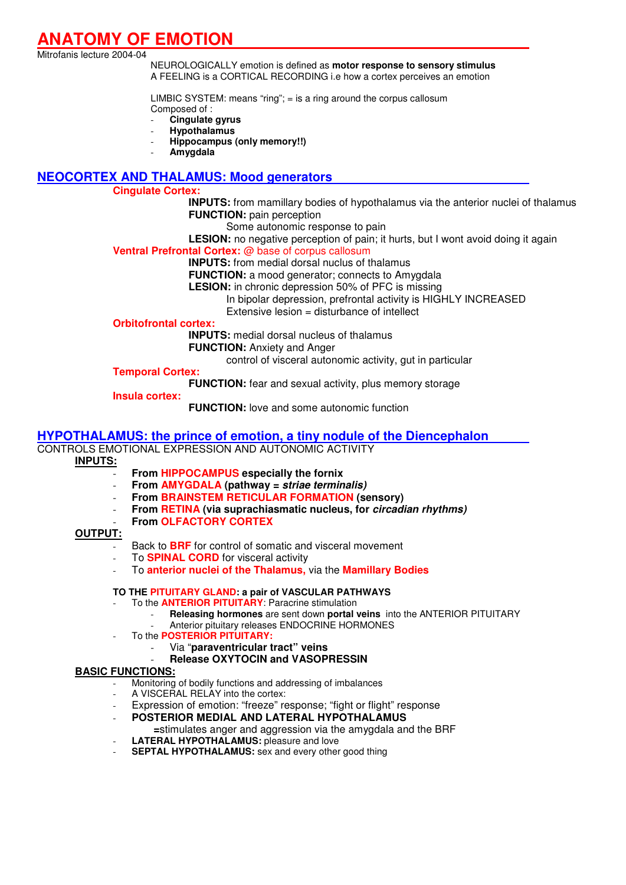# **ANATOMY OF EMOTION**

Mitrofanis lecture 2004-04

NEUROLOGICALLY emotion is defined as **motor response to sensory stimulus** A FEELING is a CORTICAL RECORDING i.e how a cortex perceives an emotion

LIMBIC SYSTEM: means "ring"; = is a ring around the corpus callosum Composed of :

- **Cingulate gyrus** 

- **Hypothalamus**
- **Hippocampus (only memory!!)**
- **Amygdala**

## **NEOCORTEX AND THALAMUS: Mood generators**

#### **Cingulate Cortex:**

**INPUTS:** from mamillary bodies of hypothalamus via the anterior nuclei of thalamus **FUNCTION:** pain perception

Some autonomic response to pain

LESION: no negative perception of pain; it hurts, but I wont avoid doing it again

**Ventral Prefrontal Cortex:** @ base of corpus callosum

 **INPUTS:** from medial dorsal nuclus of thalamus

**FUNCTION:** a mood generator; connects to Amygdala

**LESION:** in chronic depression 50% of PFC is missing

In bipolar depression, prefrontal activity is HIGHLY INCREASED

Extensive lesion = disturbance of intellect

**Orbitofrontal cortex:** 

 **INPUTS:** medial dorsal nucleus of thalamus

**FUNCTION:** Anxiety and Anger

control of visceral autonomic activity, gut in particular

### **Temporal Cortex:**

**FUNCTION:** fear and sexual activity, plus memory storage

**Insula cortex:** 

**FUNCTION:** love and some autonomic function

#### **HYPOTHALAMUS: the prince of emotion, a tiny nodule of the Diencephalon**

# CONTROLS EMOTIONAL EXPRESSION AND AUTONOMIC ACTIVITY

### **INPUTS:**

- **From HIPPOCAMPUS especially the fornix**
- **From AMYGDALA (pathway = striae terminalis)**
- **From BRAINSTEM RETICULAR FORMATION (sensory)**
- **From RETINA (via suprachiasmatic nucleus, for circadian rhythms)**
- **From OLFACTORY CORTEX**

#### **OUTPUT:**

- Back to **BRF** for control of somatic and visceral movement
- To **SPINAL CORD** for visceral activity
- To **anterior nuclei of the Thalamus,** via the **Mamillary Bodies**

#### **TO THE PITUITARY GLAND: a pair of VASCULAR PATHWAYS**

- To the **ANTERIOR PITUITARY**: Paracrine stimulation
	- **Releasing hormones** are sent down **portal veins** into the ANTERIOR PITUITARY Anterior pituitary releases ENDOCRINE HORMONES
- To the **POSTERIOR PITUITARY:** 
	- Via "**paraventricular tract" veins**
	- **Release OXYTOCIN and VASOPRESSIN**

### **BASIC FUNCTIONS:**

- Monitoring of bodily functions and addressing of imbalances
- A VISCERAL RELAY into the cortex:
- Expression of emotion: "freeze" response; "fight or flight" response
- **POSTERIOR MEDIAL AND LATERAL HYPOTHALAMUS**
- **=**stimulates anger and aggression via the amygdala and the BRF **LATERAL HYPOTHALAMUS:** pleasure and love
- **SEPTAL HYPOTHALAMUS:** sex and every other good thing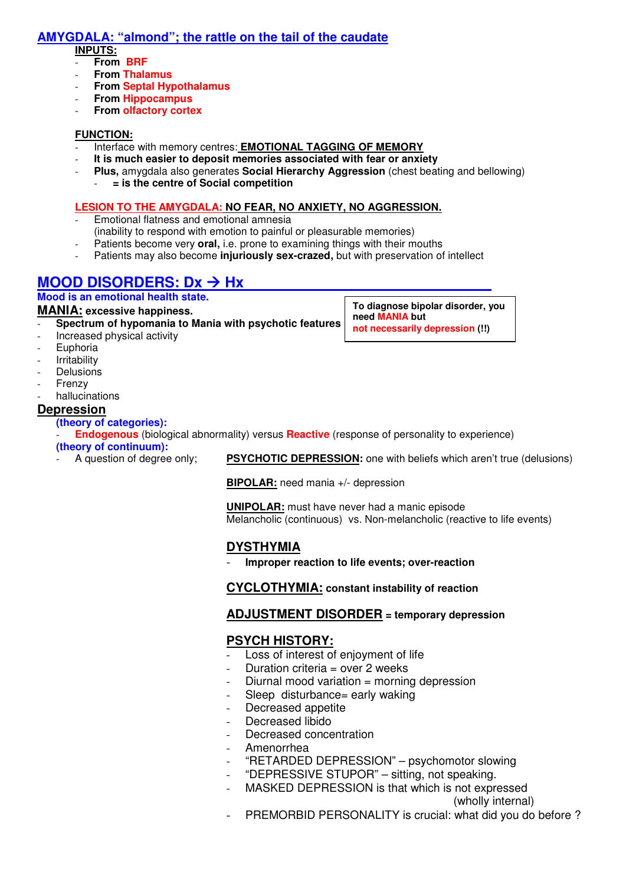# **AMYGDALA: "almond"; the rattle on the tail of the caudate**

#### **INPUTS:**

- **From BRF**
- **From Thalamus**
- **From Septal Hypothalamus**
- **From Hippocampus**
- **From olfactory cortex**

### **FUNCTION:**

- Interface with memory centres: **EMOTIONAL TAGGING OF MEMORY**
- **It is much easier to deposit memories associated with fear or anxiety**
- **Plus,** amygdala also generates **Social Hierarchy Aggression** (chest beating and bellowing)
	- **= is the centre of Social competition**

#### **LESION TO THE AMYGDALA: NO FEAR, NO ANXIETY, NO AGGRESSION.**

- Emotional flatness and emotional amnesia (inability to respond with emotion to painful or pleasurable memories)
- Patients become very **oral**, i.e. prone to examining things with their mouths
- Patients may also become **injuriously sex-crazed**, but with preservation of intellect

# **MOOD DISORDERS: Dx → Hx**

### **Mood is an emotional health state.**

### **MANIA: excessive happiness.**

- **Spectrum of hypomania to Mania with psychotic features** 

- Increased physical activity
- **Euphoria**
- **Irritability**
- **Delusions**
- **Frenzy**
- hallucinations

# **Depression**

**(theory of categories):**

- **Endogenous** (biological abnormality) versus **Reactive** (response of personality to experience) **(theory of continuum):** 

PSYCHOTIC DEPRESSION: one with beliefs which aren't true (delusions)

**BIPOLAR:** need mania +/- depression

**UNIPOLAR:** must have never had a manic episode Melancholic (continuous) vs. Non-melancholic (reactive to life events)

# **DYSTHYMIA**

- **Improper reaction to life events; over-reaction**

**CYCLOTHYMIA: constant instability of reaction** 

# **ADJUSTMENT DISORDER = temporary depression**

# **PSYCH HISTORY:**

- Loss of interest of enjoyment of life
- Duration criteria = over  $2$  weeks
- Diurnal mood variation  $=$  morning depression
- Sleep disturbance= early waking
- Decreased appetite
- Decreased libido
- Decreased concentration
- Amenorrhea
- "RETARDED DEPRESSION" psychomotor slowing
- "DEPRESSIVE STUPOR" sitting, not speaking.
- MASKED DEPRESSION is that which is not expressed
	- (wholly internal)
- PREMORBID PERSONALITY is crucial: what did you do before ?

**To diagnose bipolar disorder, you need MANIA but not necessarily depression (!!)**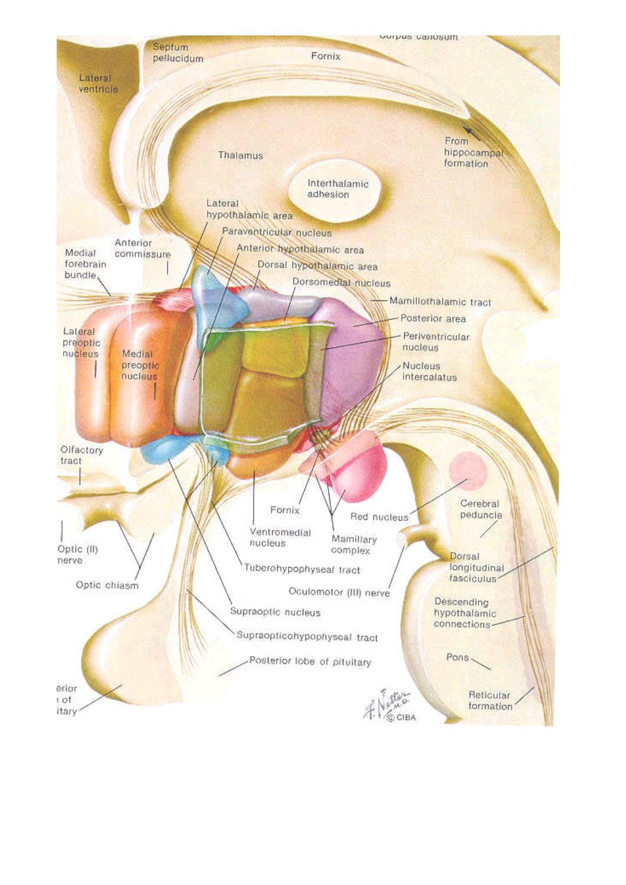